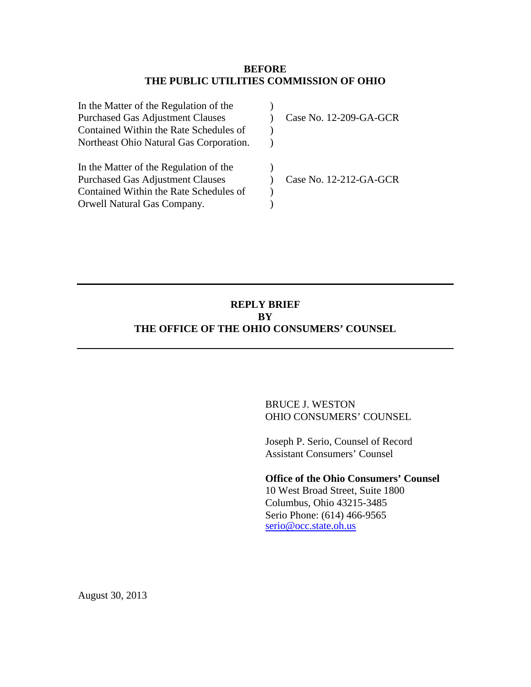## **BEFORE THE PUBLIC UTILITIES COMMISSION OF OHIO**

| In the Matter of the Regulation of the  |                        |
|-----------------------------------------|------------------------|
| <b>Purchased Gas Adjustment Clauses</b> | Case No. 12-209-GA-GCR |
| Contained Within the Rate Schedules of  |                        |
| Northeast Ohio Natural Gas Corporation. |                        |
| In the Matter of the Regulation of the  |                        |
| <b>Purchased Gas Adjustment Clauses</b> | Case No. 12-212-GA-GCR |
| Contained Within the Rate Schedules of  |                        |
| Orwell Natural Gas Company.             |                        |

# **REPLY BRIEF BY THE OFFICE OF THE OHIO CONSUMERS' COUNSEL**

BRUCE J. WESTON OHIO CONSUMERS' COUNSEL

Joseph P. Serio, Counsel of Record Assistant Consumers' Counsel

**Office of the Ohio Consumers' Counsel** 10 West Broad Street, Suite 1800 Columbus, Ohio 43215-3485 Serio Phone: (614) 466-9565 [serio@occ.state.oh.us](mailto:serio@occ.state.oh.us)

August 30, 2013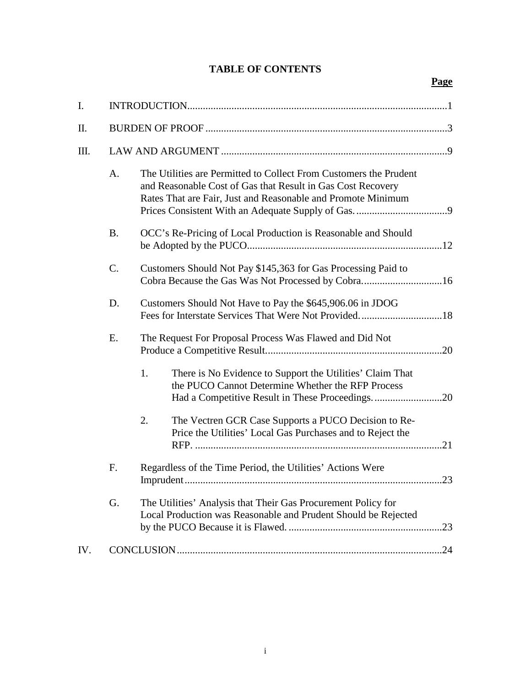# **TABLE OF CONTENTS**

# **Page**

| I.  |           |                                                                                                                                                                                                  |  |
|-----|-----------|--------------------------------------------------------------------------------------------------------------------------------------------------------------------------------------------------|--|
| Π.  |           |                                                                                                                                                                                                  |  |
| Ш.  |           |                                                                                                                                                                                                  |  |
|     | A.        | The Utilities are Permitted to Collect From Customers the Prudent<br>and Reasonable Cost of Gas that Result in Gas Cost Recovery<br>Rates That are Fair, Just and Reasonable and Promote Minimum |  |
|     | <b>B.</b> | OCC's Re-Pricing of Local Production is Reasonable and Should                                                                                                                                    |  |
|     | C.        | Customers Should Not Pay \$145,363 for Gas Processing Paid to<br>Cobra Because the Gas Was Not Processed by Cobra16                                                                              |  |
|     | D.        | Customers Should Not Have to Pay the \$645,906.06 in JDOG                                                                                                                                        |  |
| Ε.  |           | The Request For Proposal Process Was Flawed and Did Not                                                                                                                                          |  |
|     |           | 1.<br>There is No Evidence to Support the Utilities' Claim That<br>the PUCO Cannot Determine Whether the RFP Process<br>Had a Competitive Result in These Proceedings20                          |  |
|     |           | 2.<br>The Vectren GCR Case Supports a PUCO Decision to Re-<br>Price the Utilities' Local Gas Purchases and to Reject the                                                                         |  |
|     | F.        | Regardless of the Time Period, the Utilities' Actions Were                                                                                                                                       |  |
|     | G.        | The Utilities' Analysis that Their Gas Procurement Policy for<br>Local Production was Reasonable and Prudent Should be Rejected                                                                  |  |
| IV. |           |                                                                                                                                                                                                  |  |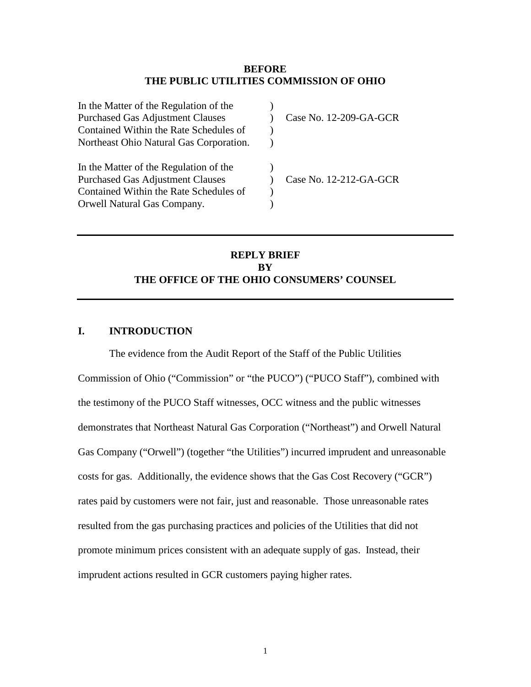#### **BEFORE THE PUBLIC UTILITIES COMMISSION OF OHIO**

| In the Matter of the Regulation of the  |                        |
|-----------------------------------------|------------------------|
| <b>Purchased Gas Adjustment Clauses</b> | Case No. 12-209-GA-GCR |
| Contained Within the Rate Schedules of  |                        |
| Northeast Ohio Natural Gas Corporation. |                        |
| In the Matter of the Regulation of the  |                        |
| <b>Purchased Gas Adjustment Clauses</b> | Case No. 12-212-GA-GCR |
| Contained Within the Rate Schedules of  |                        |
| Orwell Natural Gas Company.             |                        |

# **REPLY BRIEF BY THE OFFICE OF THE OHIO CONSUMERS' COUNSEL**

## <span id="page-2-0"></span>**I. INTRODUCTION**

The evidence from the Audit Report of the Staff of the Public Utilities Commission of Ohio ("Commission" or "the PUCO") ("PUCO Staff"), combined with the testimony of the PUCO Staff witnesses, OCC witness and the public witnesses demonstrates that Northeast Natural Gas Corporation ("Northeast") and Orwell Natural Gas Company ("Orwell") (together "the Utilities") incurred imprudent and unreasonable costs for gas. Additionally, the evidence shows that the Gas Cost Recovery ("GCR") rates paid by customers were not fair, just and reasonable. Those unreasonable rates resulted from the gas purchasing practices and policies of the Utilities that did not promote minimum prices consistent with an adequate supply of gas. Instead, their imprudent actions resulted in GCR customers paying higher rates.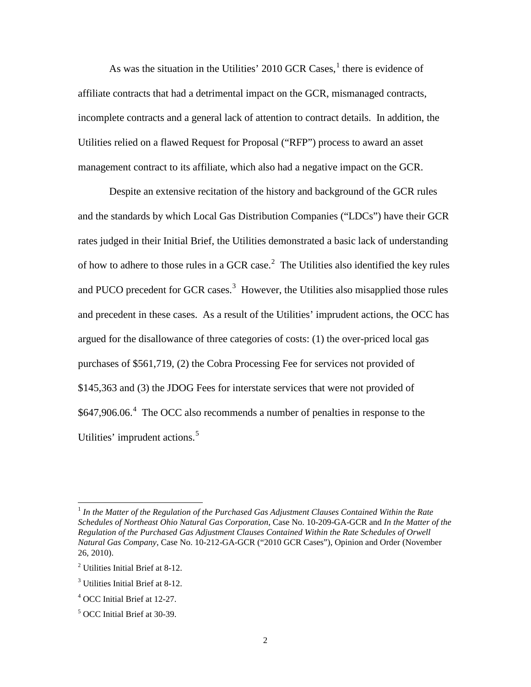As was the situation in the Utilities' 20[1](#page-3-3)0 GCR Cases, $<sup>1</sup>$  there is evidence of</sup> affiliate contracts that had a detrimental impact on the GCR, mismanaged contracts, incomplete contracts and a general lack of attention to contract details. In addition, the Utilities relied on a flawed Request for Proposal ("RFP") process to award an asset management contract to its affiliate, which also had a negative impact on the GCR.

Despite an extensive recitation of the history and background of the GCR rules and the standards by which Local Gas Distribution Companies ("LDCs") have their GCR rates judged in their Initial Brief, the Utilities demonstrated a basic lack of understanding of how to adhere to those rules in a GCR case.<sup>[2](#page-3-4)</sup> The Utilities also identified the key rules and PUCO precedent for GCR cases.<sup>[3](#page-3-2)</sup> However, the Utilities also misapplied those rules and precedent in these cases. As a result of the Utilities' imprudent actions, the OCC has argued for the disallowance of three categories of costs: (1) the over-priced local gas purchases of \$561,719, (2) the Cobra Processing Fee for services not provided of \$145,363 and (3) the JDOG Fees for interstate services that were not provided of \$6[4](#page-3-0)7,906.06.<sup>4</sup> The OCC also recommends a number of penalties in response to the Utilities' imprudent actions.<sup>[5](#page-3-1)</sup>

<span id="page-3-3"></span><sup>1</sup> *In the Matter of the Regulation of the Purchased Gas Adjustment Clauses Contained Within the Rate Schedules of Northeast Ohio Natural Gas Corporation*, Case No. 10-209-GA-GCR and *In the Matter of the Regulation of the Purchased Gas Adjustment Clauses Contained Within the Rate Schedules of Orwell Natural Gas Company*, Case No. 10-212-GA-GCR ("2010 GCR Cases"), Opinion and Order (November 26, 2010).

<span id="page-3-4"></span><sup>2</sup> Utilities Initial Brief at 8-12.

<span id="page-3-2"></span><sup>&</sup>lt;sup>3</sup> Utilities Initial Brief at 8-12.

<span id="page-3-0"></span><sup>4</sup> OCC Initial Brief at 12-27.

<span id="page-3-1"></span><sup>5</sup> OCC Initial Brief at 30-39.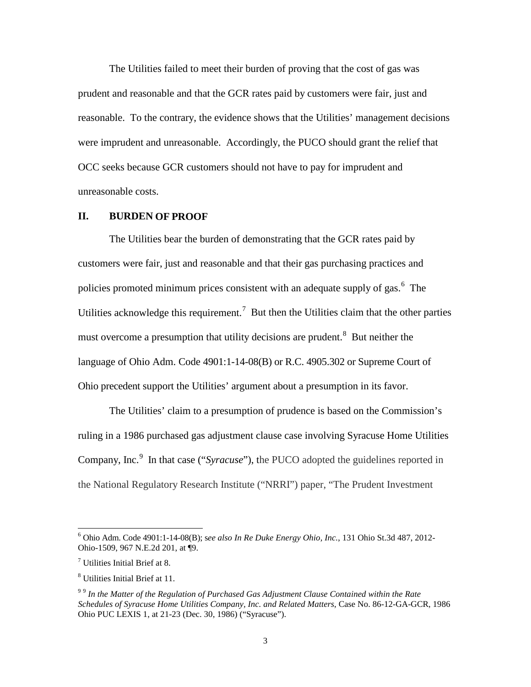The Utilities failed to meet their burden of proving that the cost of gas was prudent and reasonable and that the GCR rates paid by customers were fair, just and reasonable. To the contrary, the evidence shows that the Utilities' management decisions were imprudent and unreasonable. Accordingly, the PUCO should grant the relief that OCC seeks because GCR customers should not have to pay for imprudent and unreasonable costs.

## <span id="page-4-0"></span>**II. BURDEN OF PROOF**

The Utilities bear the burden of demonstrating that the GCR rates paid by customers were fair, just and reasonable and that their gas purchasing practices and policies promoted minimum prices consistent with an adequate supply of gas.<sup>[6](#page-4-3)</sup> The Utilities acknowledge this requirement.<sup>[7](#page-4-4)</sup> But then the Utilities claim that the other parties must overcome a presumption that utility decisions are prudent.<sup>[8](#page-4-1)</sup> But neither the language of Ohio Adm. Code 4901:1-14-08(B) or R.C. 4905.302 or Supreme Court of Ohio precedent support the Utilities' argument about a presumption in its favor.

The Utilities' claim to a presumption of prudence is based on the Commission's ruling in a 1986 purchased gas adjustment clause case involving Syracuse Home Utilities Company, Inc.<sup>[9](#page-4-2)</sup> In that case ("*Syracuse*"), the PUCO adopted the guidelines reported in the National Regulatory Research Institute ("NRRI") paper, "The Prudent Investment

<span id="page-4-3"></span><sup>6</sup> Ohio Adm. Code 4901:1-14-08(B); s*ee also In Re Duke Energy Ohio, Inc.*, 131 Ohio St.3d 487, 2012- Ohio-1509, 967 N.E.2d 201, at ¶9.

<span id="page-4-4"></span><sup>7</sup> Utilities Initial Brief at 8.

<span id="page-4-1"></span><sup>8</sup> Utilities Initial Brief at 11.

<span id="page-4-2"></span><sup>9</sup> <sup>9</sup> *In the Matter of the Regulation of Purchased Gas Adjustment Clause Contained within the Rate Schedules of Syracuse Home Utilities Company, Inc. and Related Matters*, Case No. 86-12-GA-GCR, 1986 Ohio PUC LEXIS 1, at 21-23 (Dec. 30, 1986) ("Syracuse").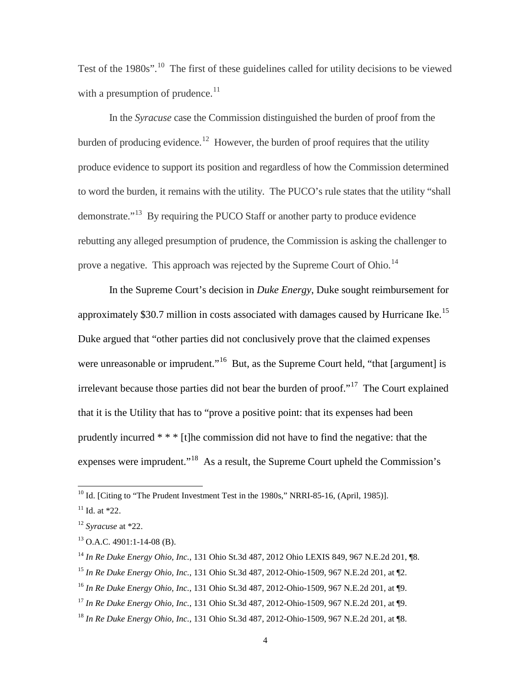Test of the 1980s".<sup>[10](#page-5-6)</sup> The first of these guidelines called for utility decisions to be viewed with a presumption of prudence. $^{11}$  $^{11}$  $^{11}$ 

In the *Syracuse* case the Commission distinguished the burden of proof from the burden of producing evidence.<sup>[12](#page-5-8)</sup> However, the burden of proof requires that the utility produce evidence to support its position and regardless of how the Commission determined to word the burden, it remains with the utility. The PUCO's rule states that the utility "shall demonstrate."[13](#page-5-7) By requiring the PUCO Staff or another party to produce evidence rebutting any alleged presumption of prudence, the Commission is asking the challenger to prove a negative. This approach was rejected by the Supreme Court of Ohio.<sup>[14](#page-5-4)</sup>

In the Supreme Court's decision in *Duke Energy*, Duke sought reimbursement for approximately \$30.7 million in costs associated with damages caused by Hurricane Ike.<sup>[15](#page-5-1)</sup> Duke argued that "other parties did not conclusively prove that the claimed expenses were unreasonable or imprudent."<sup>[16](#page-5-0)</sup> But, as the Supreme Court held, "that [argument] is irrelevant because those parties did not bear the burden of proof."[17](#page-5-3) The Court explained that it is the Utility that has to "prove a positive point: that its expenses had been prudently incurred \* \* \* [t]he commission did not have to find the negative: that the expenses were imprudent."[18](#page-5-2) As a result, the Supreme Court upheld the Commission's

<span id="page-5-6"></span> $10$  Id. [Citing to "The Prudent Investment Test in the 1980s," NRRI-85-16, (April, 1985)].

<span id="page-5-5"></span> $11$  Id. at  $*22$ .

<span id="page-5-8"></span><sup>12</sup> *Syracuse* at \*22.

<span id="page-5-7"></span> $13$  O.A.C. 4901:1-14-08 (B).

<span id="page-5-4"></span><sup>14</sup> *In Re Duke Energy Ohio, Inc.*, 131 Ohio St.3d 487, 2012 Ohio LEXIS 849, 967 N.E.2d 201, ¶8.

<span id="page-5-1"></span><sup>15</sup> *In Re Duke Energy Ohio, Inc.*, 131 Ohio St.3d 487, 2012-Ohio-1509, 967 N.E.2d 201, at ¶2.

<span id="page-5-0"></span><sup>16</sup> *In Re Duke Energy Ohio, Inc.*, 131 Ohio St.3d 487, 2012-Ohio-1509, 967 N.E.2d 201, at ¶9.

<span id="page-5-3"></span><sup>17</sup> *In Re Duke Energy Ohio, Inc.*, 131 Ohio St.3d 487, 2012-Ohio-1509, 967 N.E.2d 201, at ¶9.

<span id="page-5-2"></span><sup>18</sup> *In Re Duke Energy Ohio, Inc.*, 131 Ohio St.3d 487, 2012-Ohio-1509, 967 N.E.2d 201, at ¶8.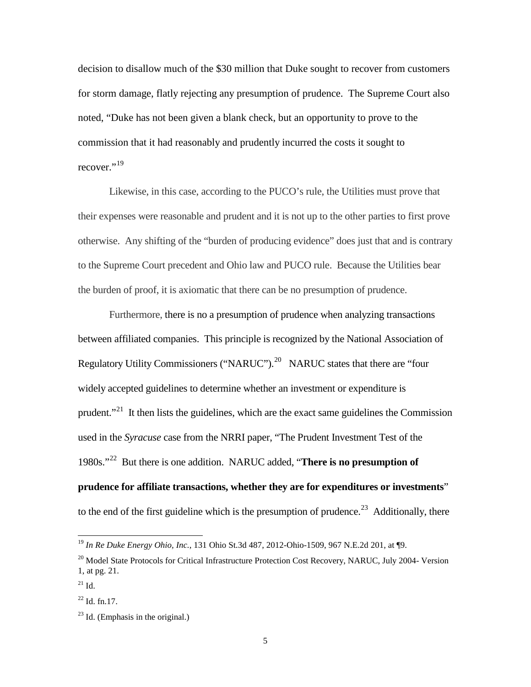decision to disallow much of the \$30 million that Duke sought to recover from customers for storm damage, flatly rejecting any presumption of prudence. The Supreme Court also noted, "Duke has not been given a blank check, but an opportunity to prove to the commission that it had reasonably and prudently incurred the costs it sought to recover."<sup>[19](#page-6-3)</sup>

Likewise, in this case, according to the PUCO's rule, the Utilities must prove that their expenses were reasonable and prudent and it is not up to the other parties to first prove otherwise. Any shifting of the "burden of producing evidence" does just that and is contrary to the Supreme Court precedent and Ohio law and PUCO rule. Because the Utilities bear the burden of proof, it is axiomatic that there can be no presumption of prudence.

Furthermore, there is no a presumption of prudence when analyzing transactions between affiliated companies. This principle is recognized by the National Association of Regulatory Utility Commissioners ("NARUC").<sup>20</sup> NARUC states that there are "four widely accepted guidelines to determine whether an investment or expenditure is prudent. $1^{21}$  $1^{21}$  $1^{21}$  It then lists the guidelines, which are the exact same guidelines the Commission used in the *Syracuse* case from the NRRI paper, "The Prudent Investment Test of the 1980s."[22](#page-6-0) But there is one addition. NARUC added, "**There is no presumption of prudence for affiliate transactions, whether they are for expenditures or investments**" to the end of the first guideline which is the presumption of prudence.<sup>[23](#page-6-1)</sup> Additionally, there

<span id="page-6-3"></span><sup>19</sup> *In Re Duke Energy Ohio, Inc.*, 131 Ohio St.3d 487, 2012-Ohio-1509, 967 N.E.2d 201, at ¶9.

<span id="page-6-4"></span> $^{20}$  Model State Protocols for Critical Infrastructure Protection Cost Recovery, NARUC, July 2004- Version 1, at pg. 21.

<span id="page-6-2"></span> $^{21}$  Id.

<span id="page-6-0"></span> $^{22}$  Id. fn.17.

<span id="page-6-1"></span> $^{23}$  Id. (Emphasis in the original.)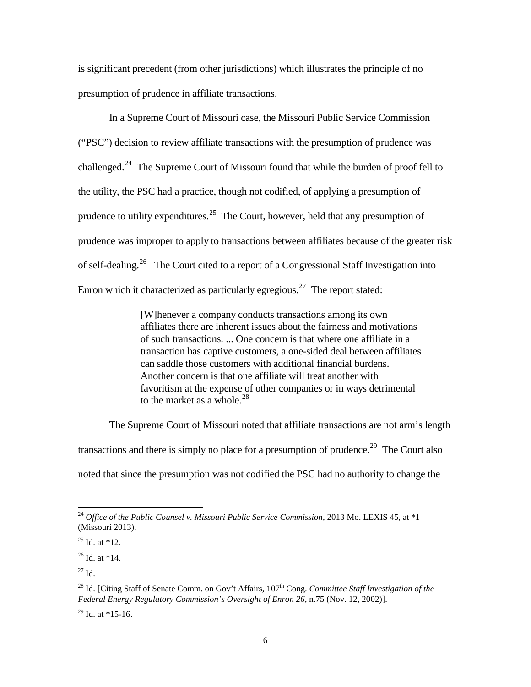is significant precedent (from other jurisdictions) which illustrates the principle of no presumption of prudence in affiliate transactions.

In a Supreme Court of Missouri case, the Missouri Public Service Commission ("PSC") decision to review affiliate transactions with the presumption of prudence was challenged.<sup>[24](#page-7-3)</sup> The Supreme Court of Missouri found that while the burden of proof fell to the utility, the PSC had a practice, though not codified, of applying a presumption of prudence to utility expenditures.<sup>[25](#page-7-4)</sup> The Court, however, held that any presumption of prudence was improper to apply to transactions between affiliates because of the greater risk of self-dealing.[26](#page-7-5) The Court cited to a report of a Congressional Staff Investigation into Enron which it characterized as particularly egregious.<sup>[27](#page-7-0)</sup> The report stated:

> [W]henever a company conducts transactions among its own affiliates there are inherent issues about the fairness and motivations of such transactions. ... One concern is that where one affiliate in a transaction has captive customers, a one-sided deal between affiliates can saddle those customers with additional financial burdens. Another concern is that one affiliate will treat another with favoritism at the expense of other companies or in ways detrimental to the market as a whole.<sup>[28](#page-7-1)</sup>

The Supreme Court of Missouri noted that affiliate transactions are not arm's length transactions and there is simply no place for a presumption of prudence.<sup>[29](#page-7-2)</sup> The Court also noted that since the presumption was not codified the PSC had no authority to change the

<span id="page-7-5"></span> $26$  Id. at  $*14$ .

<span id="page-7-0"></span> $^{27}$  Id.

 $\overline{a}$ 

<span id="page-7-2"></span> $^{29}$  Id. at \*15-16.

<span id="page-7-3"></span><sup>&</sup>lt;sup>24</sup> Office of the Public Counsel v. Missouri Public Service Commission, 2013 Mo. LEXIS 45, at \*1 (Missouri 2013).

<span id="page-7-4"></span> $25$  Id. at  $*12$ .

<span id="page-7-1"></span><sup>&</sup>lt;sup>28</sup> Id. [Citing Staff of Senate Comm. on Gov't Affairs, 107<sup>th</sup> Cong. *Committee Staff Investigation of the Federal Energy Regulatory Commission's Oversight of Enron 26*, n.75 (Nov. 12, 2002)].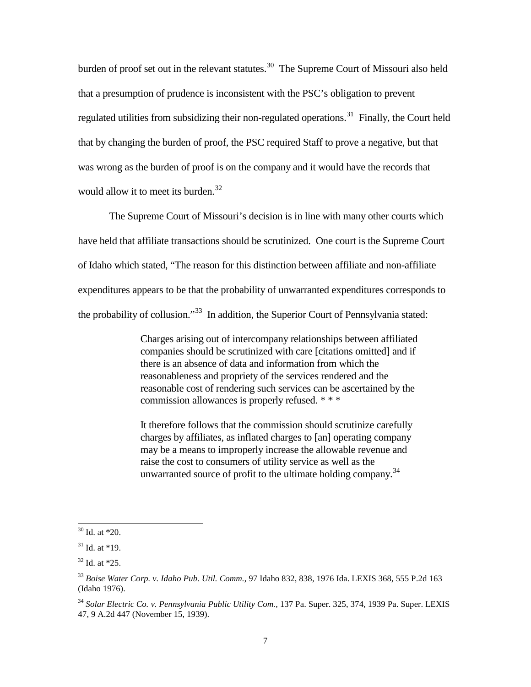burden of proof set out in the relevant statutes.<sup>[30](#page-8-3)</sup> The Supreme Court of Missouri also held that a presumption of prudence is inconsistent with the PSC's obligation to prevent regulated utilities from subsidizing their non-regulated operations.<sup>[31](#page-8-4)</sup> Finally, the Court held that by changing the burden of proof, the PSC required Staff to prove a negative, but that was wrong as the burden of proof is on the company and it would have the records that would allow it to meet its burden.<sup>[32](#page-8-2)</sup>

The Supreme Court of Missouri's decision is in line with many other courts which have held that affiliate transactions should be scrutinized. One court is the Supreme Court of Idaho which stated, "The reason for this distinction between affiliate and non-affiliate expenditures appears to be that the probability of unwarranted expenditures corresponds to the probability of collusion."<sup>[33](#page-8-0)</sup> In addition, the Superior Court of Pennsylvania stated:

> Charges arising out of intercompany relationships between affiliated companies should be scrutinized with care [citations omitted] and if there is an absence of data and information from which the reasonableness and propriety of the services rendered and the reasonable cost of rendering such services can be ascertained by the commission allowances is properly refused. \* \* \*

It therefore follows that the commission should scrutinize carefully charges by affiliates, as inflated charges to [an] operating company may be a means to improperly increase the allowable revenue and raise the cost to consumers of utility service as well as the unwarranted source of profit to the ultimate holding company.<sup>[34](#page-8-1)</sup>

<span id="page-8-3"></span> $30$  Id. at  $*20$ .

<span id="page-8-4"></span> $31$  Id. at  $*19$ .

<span id="page-8-2"></span> $32$  Id. at  $*25$ .

<span id="page-8-0"></span><sup>33</sup> *Boise Water Corp. v. Idaho Pub. Util. Comm.*, 97 Idaho 832, 838, 1976 Ida. LEXIS 368, 555 P.2d 163 (Idaho 1976).

<span id="page-8-1"></span><sup>34</sup> *Solar Electric Co. v. Pennsylvania Public Utility Com.*, 137 Pa. Super. 325, 374, 1939 Pa. Super. LEXIS 47, 9 A.2d 447 (November 15, 1939).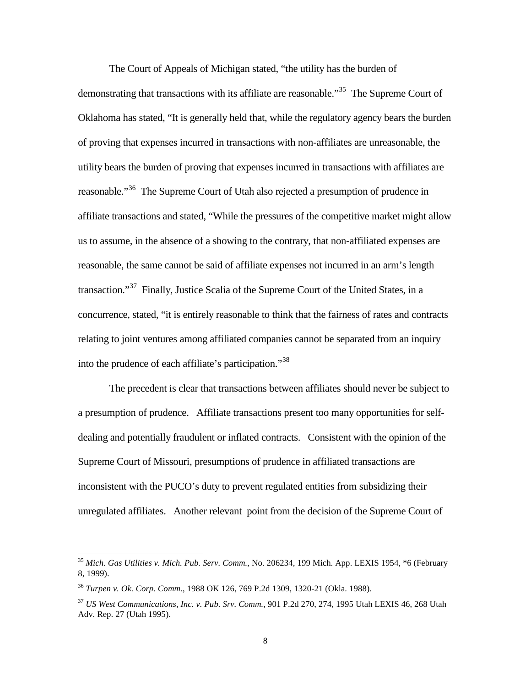The Court of Appeals of Michigan stated, "the utility has the burden of demonstrating that transactions with its affiliate are reasonable.<sup>[35](#page-9-2)</sup> The Supreme Court of Oklahoma has stated, "It is generally held that, while the regulatory agency bears the burden of proving that expenses incurred in transactions with non-affiliates are unreasonable, the utility bears the burden of proving that expenses incurred in transactions with affiliates are reasonable."<sup>[36](#page-9-3)</sup> The Supreme Court of Utah also rejected a presumption of prudence in affiliate transactions and stated, "While the pressures of the competitive market might allow us to assume, in the absence of a showing to the contrary, that non-affiliated expenses are reasonable, the same cannot be said of affiliate expenses not incurred in an arm's length transaction."<sup>[37](#page-9-0)</sup> Finally, Justice Scalia of the Supreme Court of the United States, in a concurrence, stated, "it is entirely reasonable to think that the fairness of rates and contracts relating to joint ventures among affiliated companies cannot be separated from an inquiry into the prudence of each affiliate's participation."[38](#page-9-1)

The precedent is clear that transactions between affiliates should never be subject to a presumption of prudence. Affiliate transactions present too many opportunities for selfdealing and potentially fraudulent or inflated contracts. Consistent with the opinion of the Supreme Court of Missouri*,* presumptions of prudence in affiliated transactions are inconsistent with the PUCO's duty to prevent regulated entities from subsidizing their unregulated affiliates. Another relevant point from the decision of the Supreme Court of

<span id="page-9-2"></span><sup>35</sup> *Mich. Gas Utilities v. Mich. Pub. Serv. Comm.*, No. 206234, 199 Mich. App. LEXIS 1954, \*6 (February 8, 1999).

<span id="page-9-3"></span><span id="page-9-1"></span><sup>36</sup> *Turpen v. Ok. Corp. Comm.*, 1988 OK 126, 769 P.2d 1309, 1320-21 (Okla. 1988).

<span id="page-9-0"></span><sup>37</sup> *US West Communications, Inc. v. Pub. Srv. Comm.*, 901 P.2d 270, 274, 1995 Utah LEXIS 46, 268 Utah Adv. Rep. 27 (Utah 1995).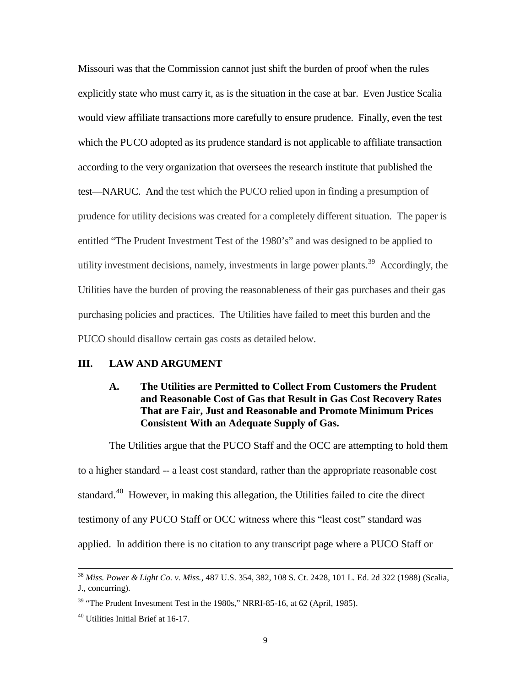Missouri was that the Commission cannot just shift the burden of proof when the rules explicitly state who must carry it, as is the situation in the case at bar. Even Justice Scalia would view affiliate transactions more carefully to ensure prudence. Finally, even the test which the PUCO adopted as its prudence standard is not applicable to affiliate transaction according to the very organization that oversees the research institute that published the test—NARUC. And the test which the PUCO relied upon in finding a presumption of prudence for utility decisions was created for a completely different situation. The paper is entitled "The Prudent Investment Test of the 1980's" and was designed to be applied to utility investment decisions, namely, investments in large power plants.<sup>39</sup> Accordingly, the Utilities have the burden of proving the reasonableness of their gas purchases and their gas purchasing policies and practices. The Utilities have failed to meet this burden and the PUCO should disallow certain gas costs as detailed below.

#### <span id="page-10-1"></span><span id="page-10-0"></span>**III. LAW AND ARGUMENT**

# **A. The Utilities are Permitted to Collect From Customers the Prudent and Reasonable Cost of Gas that Result in Gas Cost Recovery Rates That are Fair, Just and Reasonable and Promote Minimum Prices Consistent With an Adequate Supply of Gas.**

The Utilities argue that the PUCO Staff and the OCC are attempting to hold them to a higher standard -- a least cost standard, rather than the appropriate reasonable cost standard.<sup>[40](#page-10-2)</sup> However, in making this allegation, the Utilities failed to cite the direct testimony of any PUCO Staff or OCC witness where this "least cost" standard was applied. In addition there is no citation to any transcript page where a PUCO Staff or

<sup>38</sup> *Miss. Power & Light Co. v. Miss.*, 487 U.S. 354, 382, 108 S. Ct. 2428, 101 L. Ed. 2d 322 (1988) (Scalia, J., concurring).

<span id="page-10-3"></span> $39$  "The Prudent Investment Test in the 1980s," NRRI-85-16, at 62 (April, 1985).

<span id="page-10-2"></span><sup>40</sup> Utilities Initial Brief at 16-17.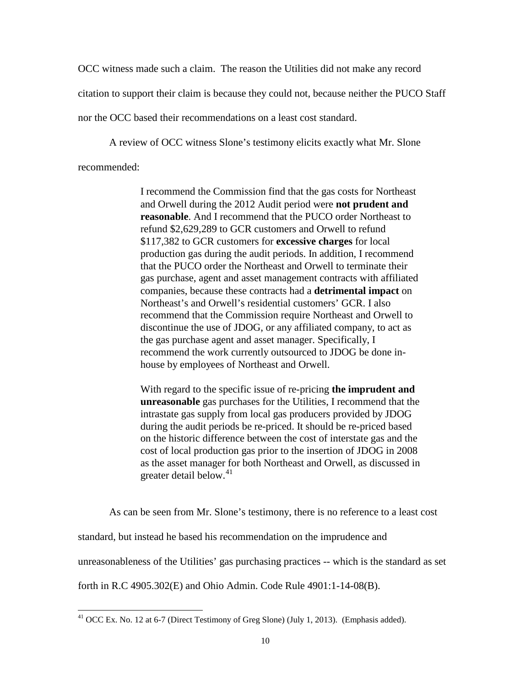OCC witness made such a claim. The reason the Utilities did not make any record

citation to support their claim is because they could not, because neither the PUCO Staff

nor the OCC based their recommendations on a least cost standard.

A review of OCC witness Slone's testimony elicits exactly what Mr. Slone

recommended:

 $\overline{a}$ 

I recommend the Commission find that the gas costs for Northeast and Orwell during the 2012 Audit period were **not prudent and reasonable**. And I recommend that the PUCO order Northeast to refund \$2,629,289 to GCR customers and Orwell to refund \$117,382 to GCR customers for **excessive charges** for local production gas during the audit periods. In addition, I recommend that the PUCO order the Northeast and Orwell to terminate their gas purchase, agent and asset management contracts with affiliated companies, because these contracts had a **detrimental impact** on Northeast's and Orwell's residential customers' GCR. I also recommend that the Commission require Northeast and Orwell to discontinue the use of JDOG, or any affiliated company, to act as the gas purchase agent and asset manager. Specifically, I recommend the work currently outsourced to JDOG be done inhouse by employees of Northeast and Orwell.

With regard to the specific issue of re-pricing **the imprudent and unreasonable** gas purchases for the Utilities, I recommend that the intrastate gas supply from local gas producers provided by JDOG during the audit periods be re-priced. It should be re-priced based on the historic difference between the cost of interstate gas and the cost of local production gas prior to the insertion of JDOG in 2008 as the asset manager for both Northeast and Orwell, as discussed in greater detail below. $41$ 

As can be seen from Mr. Slone's testimony, there is no reference to a least cost

standard, but instead he based his recommendation on the imprudence and

unreasonableness of the Utilities' gas purchasing practices -- which is the standard as set

forth in R.C 4905.302(E) and Ohio Admin. Code Rule 4901:1-14-08(B).

<span id="page-11-0"></span><sup>&</sup>lt;sup>41</sup> OCC Ex. No. 12 at 6-7 (Direct Testimony of Greg Slone) (July 1, 2013). (Emphasis added).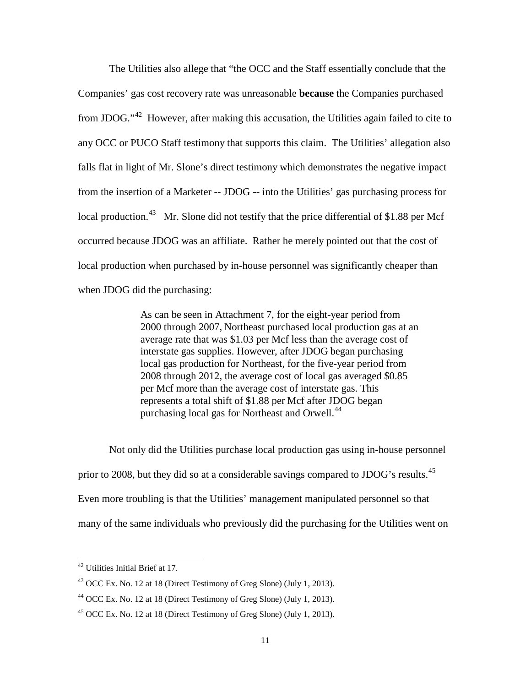The Utilities also allege that "the OCC and the Staff essentially conclude that the Companies' gas cost recovery rate was unreasonable **because** the Companies purchased from JDOG."[42](#page-12-2) However, after making this accusation, the Utilities again failed to cite to any OCC or PUCO Staff testimony that supports this claim. The Utilities' allegation also falls flat in light of Mr. Slone's direct testimony which demonstrates the negative impact from the insertion of a Marketer -- JDOG -- into the Utilities' gas purchasing process for local production.<sup>[43](#page-12-3)</sup> Mr. Slone did not testify that the price differential of \$1.88 per Mcf occurred because JDOG was an affiliate. Rather he merely pointed out that the cost of local production when purchased by in-house personnel was significantly cheaper than when JDOG did the purchasing:

> As can be seen in Attachment 7, for the eight-year period from 2000 through 2007, Northeast purchased local production gas at an average rate that was \$1.03 per Mcf less than the average cost of interstate gas supplies. However, after JDOG began purchasing local gas production for Northeast, for the five-year period from 2008 through 2012, the average cost of local gas averaged \$0.85 per Mcf more than the average cost of interstate gas. This represents a total shift of \$1.88 per Mcf after JDOG began purchasing local gas for Northeast and Orwell.<sup>[44](#page-12-0)</sup>

Not only did the Utilities purchase local production gas using in-house personnel prior to 2008, but they did so at a considerable savings compared to JDOG's results.<sup>[45](#page-12-1)</sup> Even more troubling is that the Utilities' management manipulated personnel so that many of the same individuals who previously did the purchasing for the Utilities went on

<span id="page-12-2"></span><sup>&</sup>lt;sup>42</sup> Utilities Initial Brief at 17.

<span id="page-12-3"></span> $43$  OCC Ex. No. 12 at 18 (Direct Testimony of Greg Slone) (July 1, 2013).

<span id="page-12-0"></span> $44$  OCC Ex. No. 12 at 18 (Direct Testimony of Greg Slone) (July 1, 2013).

<span id="page-12-1"></span> $45$  OCC Ex. No. 12 at 18 (Direct Testimony of Greg Slone) (July 1, 2013).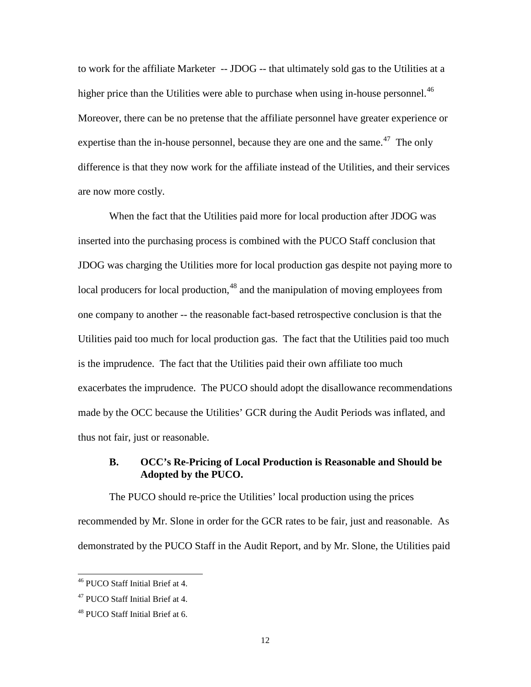to work for the affiliate Marketer -- JDOG -- that ultimately sold gas to the Utilities at a higher price than the Utilities were able to purchase when using in-house personnel.<sup>46</sup> Moreover, there can be no pretense that the affiliate personnel have greater experience or expertise than the in-house personnel, because they are one and the same.<sup>[47](#page-13-2)</sup> The only difference is that they now work for the affiliate instead of the Utilities, and their services are now more costly.

When the fact that the Utilities paid more for local production after JDOG was inserted into the purchasing process is combined with the PUCO Staff conclusion that JDOG was charging the Utilities more for local production gas despite not paying more to local producers for local production,  $48$  and the manipulation of moving employees from one company to another -- the reasonable fact-based retrospective conclusion is that the Utilities paid too much for local production gas. The fact that the Utilities paid too much is the imprudence. The fact that the Utilities paid their own affiliate too much exacerbates the imprudence. The PUCO should adopt the disallowance recommendations made by the OCC because the Utilities' GCR during the Audit Periods was inflated, and thus not fair, just or reasonable.

### <span id="page-13-0"></span>**B. OCC's Re-Pricing of Local Production is Reasonable and Should be Adopted by the PUCO.**

The PUCO should re-price the Utilities' local production using the prices recommended by Mr. Slone in order for the GCR rates to be fair, just and reasonable. As demonstrated by the PUCO Staff in the Audit Report, and by Mr. Slone, the Utilities paid

<span id="page-13-3"></span><sup>46</sup> PUCO Staff Initial Brief at 4.

<span id="page-13-2"></span><sup>&</sup>lt;sup>47</sup> PUCO Staff Initial Brief at 4.

<span id="page-13-1"></span><sup>&</sup>lt;sup>48</sup> PUCO Staff Initial Brief at 6.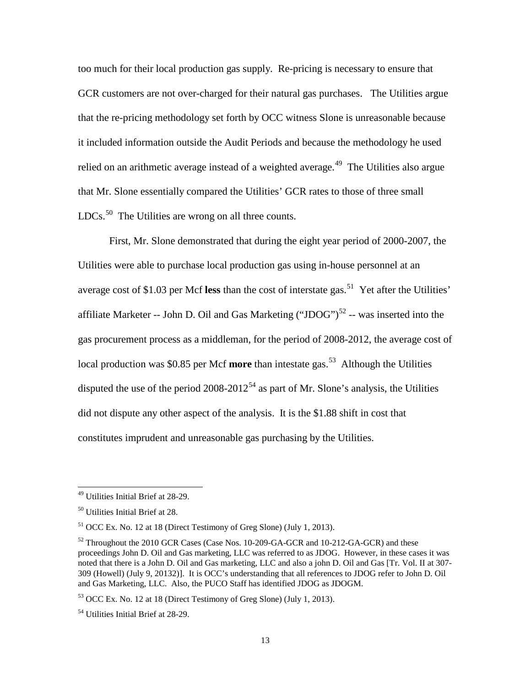too much for their local production gas supply. Re-pricing is necessary to ensure that GCR customers are not over-charged for their natural gas purchases. The Utilities argue that the re-pricing methodology set forth by OCC witness Slone is unreasonable because it included information outside the Audit Periods and because the methodology he used relied on an arithmetic average instead of a weighted average.<sup>49</sup> The Utilities also argue that Mr. Slone essentially compared the Utilities' GCR rates to those of three small  $LDCs.$ <sup>[50](#page-14-4)</sup> The Utilities are wrong on all three counts.

First, Mr. Slone demonstrated that during the eight year period of 2000-2007, the Utilities were able to purchase local production gas using in-house personnel at an average cost of \$1.03 per Mcf less than the cost of interstate gas.<sup>[51](#page-14-5)</sup> Yet after the Utilities' affiliate Marketer -- John D. Oil and Gas Marketing ("JDOG")<sup>[52](#page-14-0)</sup> -- was inserted into the gas procurement process as a middleman, for the period of 2008-2012, the average cost of local production was \$0.85 per Mcf **more** than intestate gas. [53](#page-14-1) Although the Utilities disputed the use of the period  $2008-2012^{54}$  $2008-2012^{54}$  $2008-2012^{54}$  as part of Mr. Slone's analysis, the Utilities did not dispute any other aspect of the analysis. It is the \$1.88 shift in cost that constitutes imprudent and unreasonable gas purchasing by the Utilities.

<span id="page-14-3"></span><sup>49</sup> Utilities Initial Brief at 28-29.

<span id="page-14-4"></span><sup>50</sup> Utilities Initial Brief at 28.

<span id="page-14-5"></span> $51$  OCC Ex. No. 12 at 18 (Direct Testimony of Greg Slone) (July 1, 2013).

<span id="page-14-0"></span> $52$  Throughout the 2010 GCR Cases (Case Nos. 10-209-GA-GCR and 10-212-GA-GCR) and these proceedings John D. Oil and Gas marketing, LLC was referred to as JDOG. However, in these cases it was noted that there is a John D. Oil and Gas marketing, LLC and also a john D. Oil and Gas [Tr. Vol. II at 307- 309 (Howell) (July 9, 20132)]. It is OCC's understanding that all references to JDOG refer to John D. Oil and Gas Marketing, LLC. Also, the PUCO Staff has identified JDOG as JDOGM.

<span id="page-14-1"></span><sup>53</sup> OCC Ex. No. 12 at 18 (Direct Testimony of Greg Slone) (July 1, 2013).

<span id="page-14-2"></span><sup>&</sup>lt;sup>54</sup> Utilities Initial Brief at 28-29.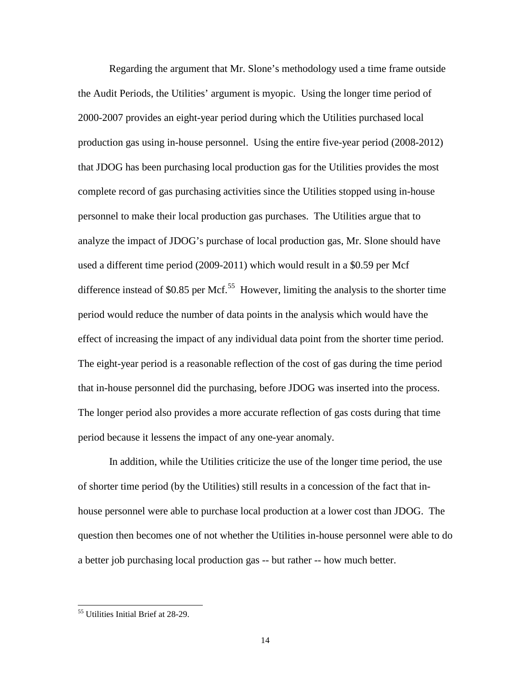Regarding the argument that Mr. Slone's methodology used a time frame outside the Audit Periods, the Utilities' argument is myopic. Using the longer time period of 2000-2007 provides an eight-year period during which the Utilities purchased local production gas using in-house personnel. Using the entire five-year period (2008-2012) that JDOG has been purchasing local production gas for the Utilities provides the most complete record of gas purchasing activities since the Utilities stopped using in-house personnel to make their local production gas purchases. The Utilities argue that to analyze the impact of JDOG's purchase of local production gas, Mr. Slone should have used a different time period (2009-2011) which would result in a \$0.59 per Mcf difference instead of \$0.85 per Mcf.<sup>[55](#page-15-0)</sup> However, limiting the analysis to the shorter time period would reduce the number of data points in the analysis which would have the effect of increasing the impact of any individual data point from the shorter time period. The eight-year period is a reasonable reflection of the cost of gas during the time period that in-house personnel did the purchasing, before JDOG was inserted into the process. The longer period also provides a more accurate reflection of gas costs during that time period because it lessens the impact of any one-year anomaly.

In addition, while the Utilities criticize the use of the longer time period, the use of shorter time period (by the Utilities) still results in a concession of the fact that inhouse personnel were able to purchase local production at a lower cost than JDOG. The question then becomes one of not whether the Utilities in-house personnel were able to do a better job purchasing local production gas -- but rather -- how much better.

<span id="page-15-0"></span><sup>&</sup>lt;sup>55</sup> Utilities Initial Brief at 28-29.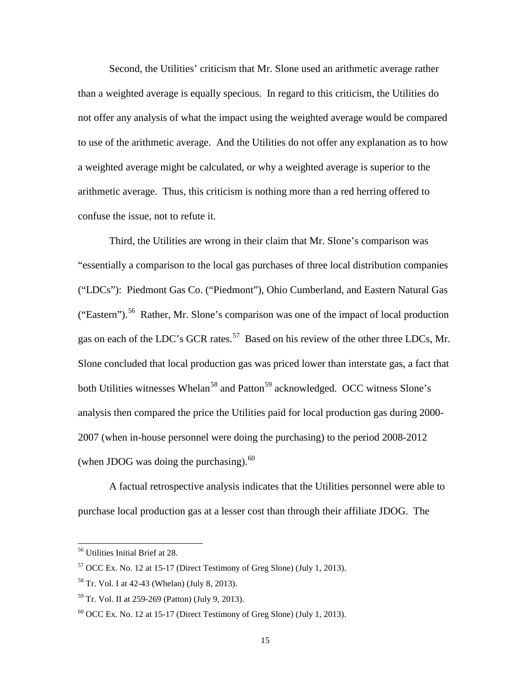Second, the Utilities' criticism that Mr. Slone used an arithmetic average rather than a weighted average is equally specious. In regard to this criticism, the Utilities do not offer any analysis of what the impact using the weighted average would be compared to use of the arithmetic average. And the Utilities do not offer any explanation as to how a weighted average might be calculated, or why a weighted average is superior to the arithmetic average. Thus, this criticism is nothing more than a red herring offered to confuse the issue, not to refute it.

Third, the Utilities are wrong in their claim that Mr. Slone's comparison was "essentially a comparison to the local gas purchases of three local distribution companies ("LDCs"): Piedmont Gas Co. ("Piedmont"), Ohio Cumberland, and Eastern Natural Gas ("Eastern").[56](#page-16-3) Rather, Mr. Slone's comparison was one of the impact of local production gas on each of the LDC's GCR rates.<sup>57</sup> Based on his review of the other three LDCs, Mr. Slone concluded that local production gas was priced lower than interstate gas, a fact that both Utilities witnesses Whelan<sup>[58](#page-16-2)</sup> and Patton<sup>[59](#page-16-0)</sup> acknowledged. OCC witness Slone's analysis then compared the price the Utilities paid for local production gas during 2000- 2007 (when in-house personnel were doing the purchasing) to the period 2008-2012 (when JDOG was doing the purchasing). $^{60}$  $^{60}$  $^{60}$ 

A factual retrospective analysis indicates that the Utilities personnel were able to purchase local production gas at a lesser cost than through their affiliate JDOG. The

<span id="page-16-3"></span><sup>56</sup> Utilities Initial Brief at 28.

<span id="page-16-4"></span> $57$  OCC Ex. No. 12 at 15-17 (Direct Testimony of Greg Slone) (July 1, 2013).

<span id="page-16-2"></span><sup>58</sup> Tr. Vol. I at 42-43 (Whelan) (July 8, 2013).

<span id="page-16-0"></span><sup>59</sup> Tr. Vol. II at 259-269 (Patton) (July 9, 2013).

<span id="page-16-1"></span> $60$  OCC Ex. No. 12 at 15-17 (Direct Testimony of Greg Slone) (July 1, 2013).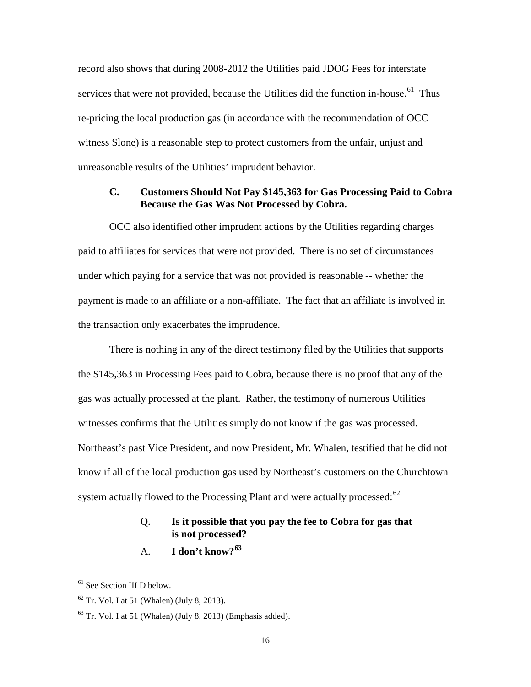record also shows that during 2008-2012 the Utilities paid JDOG Fees for interstate services that were not provided, because the Utilities did the function in-house.<sup>61</sup> Thus re-pricing the local production gas (in accordance with the recommendation of OCC witness Slone) is a reasonable step to protect customers from the unfair, unjust and unreasonable results of the Utilities' imprudent behavior.

# <span id="page-17-0"></span>**C. Customers Should Not Pay \$145,363 for Gas Processing Paid to Cobra Because the Gas Was Not Processed by Cobra.**

OCC also identified other imprudent actions by the Utilities regarding charges paid to affiliates for services that were not provided. There is no set of circumstances under which paying for a service that was not provided is reasonable -- whether the payment is made to an affiliate or a non-affiliate. The fact that an affiliate is involved in the transaction only exacerbates the imprudence.

There is nothing in any of the direct testimony filed by the Utilities that supports the \$145,363 in Processing Fees paid to Cobra, because there is no proof that any of the gas was actually processed at the plant. Rather, the testimony of numerous Utilities witnesses confirms that the Utilities simply do not know if the gas was processed. Northeast's past Vice President, and now President, Mr. Whalen, testified that he did not know if all of the local production gas used by Northeast's customers on the Churchtown system actually flowed to the Processing Plant and were actually processed: $62$ 

## Q. **Is it possible that you pay the fee to Cobra for gas that is not processed?**

## A. **I don't know?[63](#page-17-1)**

<span id="page-17-3"></span><sup>61</sup> See Section III D below.

<span id="page-17-2"></span> $62$  Tr. Vol. I at 51 (Whalen) (July 8, 2013).

<span id="page-17-1"></span> $63$  Tr. Vol. I at 51 (Whalen) (July 8, 2013) (Emphasis added).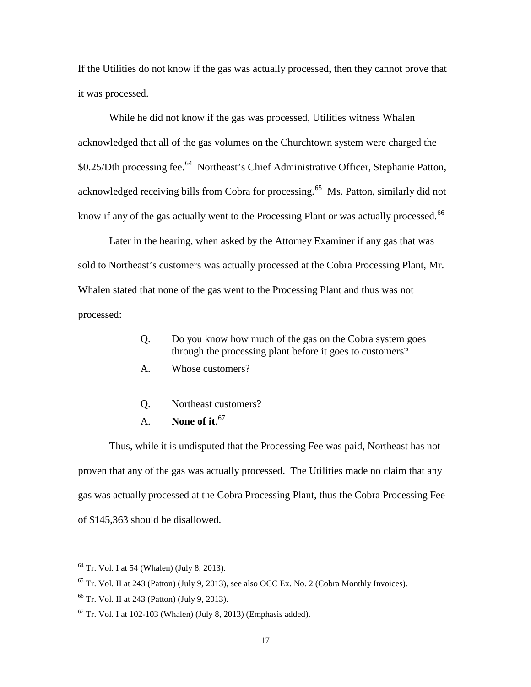If the Utilities do not know if the gas was actually processed, then they cannot prove that it was processed.

While he did not know if the gas was processed, Utilities witness Whalen acknowledged that all of the gas volumes on the Churchtown system were charged the \$0.25/Dth processing fee.<sup>64</sup> Northeast's Chief Administrative Officer, Stephanie Patton, acknowledged receiving bills from Cobra for processing.<sup>[65](#page-18-3)</sup> Ms. Patton, similarly did not know if any of the gas actually went to the Processing Plant or was actually processed.<sup>[66](#page-18-0)</sup>

Later in the hearing, when asked by the Attorney Examiner if any gas that was sold to Northeast's customers was actually processed at the Cobra Processing Plant, Mr. Whalen stated that none of the gas went to the Processing Plant and thus was not processed:

- Q. Do you know how much of the gas on the Cobra system goes through the processing plant before it goes to customers?
- A. Whose customers?
- Q. Northeast customers?
- A. **None of it**. [67](#page-18-1)

Thus, while it is undisputed that the Processing Fee was paid, Northeast has not proven that any of the gas was actually processed. The Utilities made no claim that any gas was actually processed at the Cobra Processing Plant, thus the Cobra Processing Fee of \$145,363 should be disallowed.

<span id="page-18-2"></span> $64$  Tr. Vol. I at 54 (Whalen) (July 8, 2013).

<span id="page-18-3"></span> $^{65}$  Tr. Vol. II at 243 (Patton) (July 9, 2013), see also OCC Ex. No. 2 (Cobra Monthly Invoices).

<span id="page-18-0"></span><sup>66</sup> Tr. Vol. II at 243 (Patton) (July 9, 2013).

<span id="page-18-1"></span> $67$  Tr. Vol. I at 102-103 (Whalen) (July 8, 2013) (Emphasis added).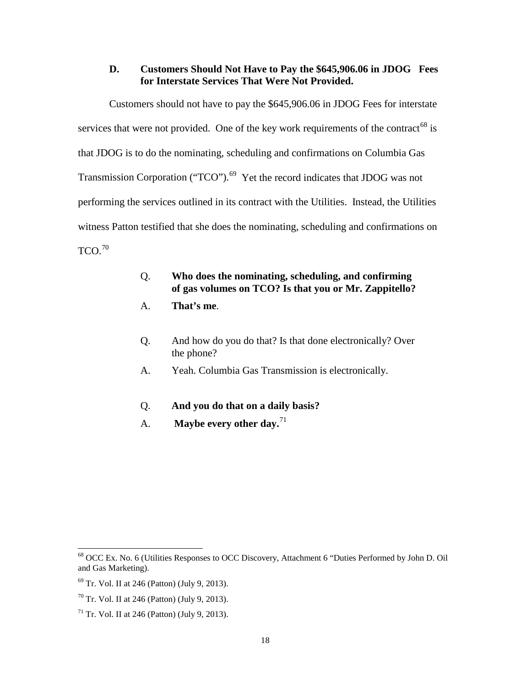### <span id="page-19-0"></span>**D. Customers Should Not Have to Pay the \$645,906.06 in JDOG Fees for Interstate Services That Were Not Provided.**

Customers should not have to pay the \$645,906.06 in JDOG Fees for interstate services that were not provided. One of the key work requirements of the contract<sup>[68](#page-19-3)</sup> is that JDOG is to do the nominating, scheduling and confirmations on Columbia Gas Transmission Corporation ("TCO").<sup>69</sup> Yet the record indicates that JDOG was not performing the services outlined in its contract with the Utilities. Instead, the Utilities witness Patton testified that she does the nominating, scheduling and confirmations on  $TCO<sup>70</sup>$ 

# Q. **Who does the nominating, scheduling, and confirming of gas volumes on TCO? Is that you or Mr. Zappitello?**

- A. **That's me**.
- Q. And how do you do that? Is that done electronically? Over the phone?
- A. Yeah. Columbia Gas Transmission is electronically.
- Q. **And you do that on a daily basis?**
- A. **Maybe every other day.**[71](#page-19-2)

<span id="page-19-3"></span><sup>68</sup> OCC Ex. No. 6 (Utilities Responses to OCC Discovery, Attachment 6 "Duties Performed by John D. Oil and Gas Marketing).

<span id="page-19-4"></span> $69$  Tr. Vol. II at 246 (Patton) (July 9, 2013).

<span id="page-19-1"></span> $70$  Tr. Vol. II at 246 (Patton) (July 9, 2013).

<span id="page-19-2"></span> $71$  Tr. Vol. II at 246 (Patton) (July 9, 2013).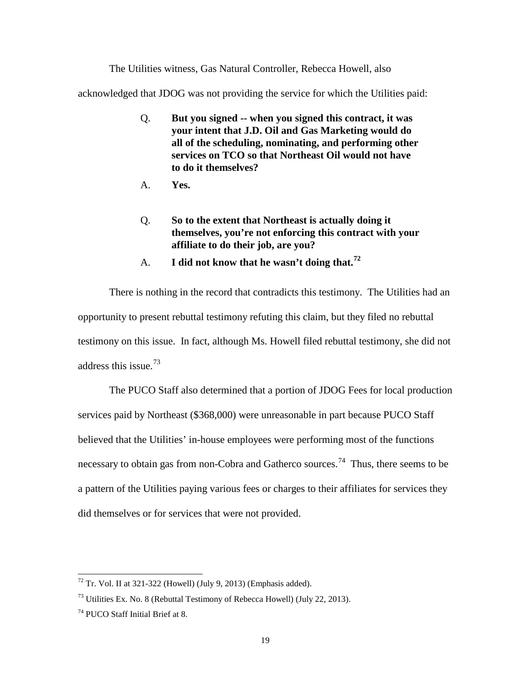The Utilities witness, Gas Natural Controller, Rebecca Howell, also

acknowledged that JDOG was not providing the service for which the Utilities paid:

- Q. **But you signed -- when you signed this contract, it was your intent that J.D. Oil and Gas Marketing would do all of the scheduling, nominating, and performing other services on TCO so that Northeast Oil would not have to do it themselves?**
- A. **Yes.**
- Q. **So to the extent that Northeast is actually doing it themselves, you're not enforcing this contract with your affiliate to do their job, are you?**
- A. **I did not know that he wasn't doing that.[72](#page-20-2)**

There is nothing in the record that contradicts this testimony. The Utilities had an opportunity to present rebuttal testimony refuting this claim, but they filed no rebuttal testimony on this issue. In fact, although Ms. Howell filed rebuttal testimony, she did not address this issue.[73](#page-20-1)

The PUCO Staff also determined that a portion of JDOG Fees for local production services paid by Northeast (\$368,000) were unreasonable in part because PUCO Staff believed that the Utilities' in-house employees were performing most of the functions necessary to obtain gas from non-Cobra and Gatherco sources.<sup>[74](#page-20-0)</sup> Thus, there seems to be a pattern of the Utilities paying various fees or charges to their affiliates for services they did themselves or for services that were not provided.

<span id="page-20-2"></span> $72$  Tr. Vol. II at 321-322 (Howell) (July 9, 2013) (Emphasis added).

<span id="page-20-1"></span> $^{73}$  Utilities Ex. No. 8 (Rebuttal Testimony of Rebecca Howell) (July 22, 2013).

<span id="page-20-0"></span><sup>74</sup> PUCO Staff Initial Brief at 8.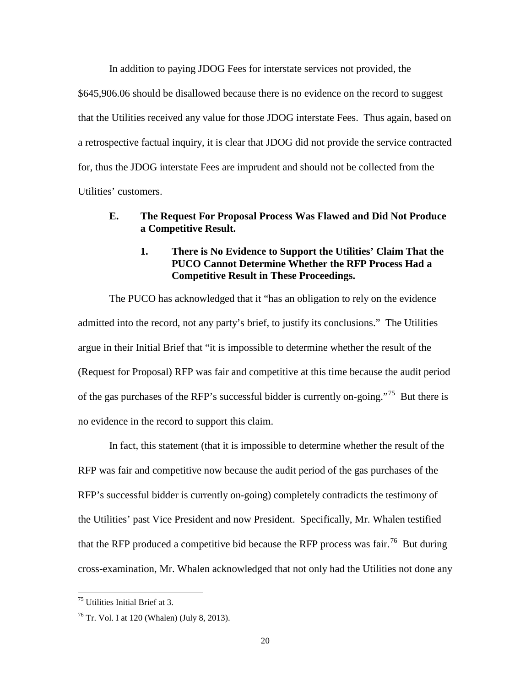In addition to paying JDOG Fees for interstate services not provided, the \$645,906.06 should be disallowed because there is no evidence on the record to suggest that the Utilities received any value for those JDOG interstate Fees. Thus again, based on a retrospective factual inquiry, it is clear that JDOG did not provide the service contracted for, thus the JDOG interstate Fees are imprudent and should not be collected from the Utilities' customers.

# <span id="page-21-1"></span><span id="page-21-0"></span>**E. The Request For Proposal Process Was Flawed and Did Not Produce a Competitive Result.**

## **1. There is No Evidence to Support the Utilities' Claim That the PUCO Cannot Determine Whether the RFP Process Had a Competitive Result in These Proceedings.**

The PUCO has acknowledged that it "has an obligation to rely on the evidence admitted into the record, not any party's brief, to justify its conclusions." The Utilities argue in their Initial Brief that "it is impossible to determine whether the result of the (Request for Proposal) RFP was fair and competitive at this time because the audit period of the gas purchases of the RFP's successful bidder is currently on-going."[75](#page-21-3) But there is no evidence in the record to support this claim.

In fact, this statement (that it is impossible to determine whether the result of the RFP was fair and competitive now because the audit period of the gas purchases of the RFP's successful bidder is currently on-going) completely contradicts the testimony of the Utilities' past Vice President and now President. Specifically, Mr. Whalen testified that the RFP produced a competitive bid because the RFP process was fair.<sup>[76](#page-21-2)</sup> But during cross-examination, Mr. Whalen acknowledged that not only had the Utilities not done any

<span id="page-21-3"></span><sup>75</sup> Utilities Initial Brief at 3.

<span id="page-21-2"></span> $76$  Tr. Vol. I at 120 (Whalen) (July 8, 2013).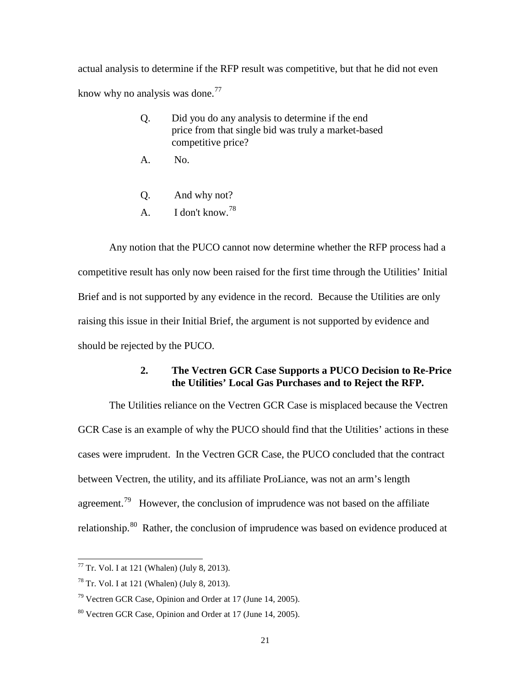actual analysis to determine if the RFP result was competitive, but that he did not even know why no analysis was done.<sup>[77](#page-22-3)</sup>

- Q. Did you do any analysis to determine if the end price from that single bid was truly a market-based competitive price?
- A. No.
- Q. And why not?
- A. I don't know.[78](#page-22-4)

Any notion that the PUCO cannot now determine whether the RFP process had a competitive result has only now been raised for the first time through the Utilities' Initial Brief and is not supported by any evidence in the record. Because the Utilities are only raising this issue in their Initial Brief, the argument is not supported by evidence and should be rejected by the PUCO.

# **2. The Vectren GCR Case Supports a PUCO Decision to Re-Price the Utilities' Local Gas Purchases and to Reject the RFP.**

<span id="page-22-0"></span>The Utilities reliance on the Vectren GCR Case is misplaced because the Vectren GCR Case is an example of why the PUCO should find that the Utilities' actions in these cases were imprudent. In the Vectren GCR Case, the PUCO concluded that the contract between Vectren, the utility, and its affiliate ProLiance, was not an arm's length agreement.<sup>[79](#page-22-1)</sup> However, the conclusion of imprudence was not based on the affiliate relationship.<sup>[80](#page-22-2)</sup> Rather, the conclusion of imprudence was based on evidence produced at

<span id="page-22-3"></span> $77$  Tr. Vol. I at 121 (Whalen) (July 8, 2013).

<span id="page-22-4"></span><sup>78</sup> Tr. Vol. I at 121 (Whalen) (July 8, 2013).

<span id="page-22-1"></span> $79$  Vectren GCR Case, Opinion and Order at 17 (June 14, 2005).

<span id="page-22-2"></span><sup>80</sup> Vectren GCR Case, Opinion and Order at 17 (June 14, 2005).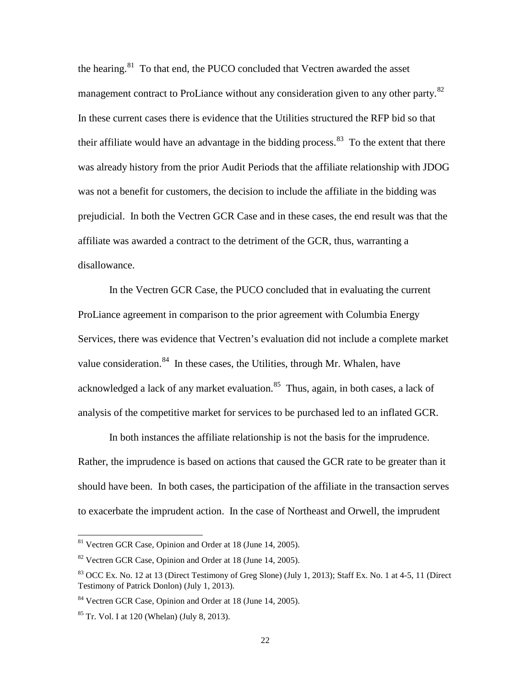the hearing. $81$  To that end, the PUCO concluded that Vectren awarded the asset management contract to ProLiance without any consideration given to any other party.<sup>[82](#page-23-4)</sup> In these current cases there is evidence that the Utilities structured the RFP bid so that their affiliate would have an advantage in the bidding process. $83$  To the extent that there was already history from the prior Audit Periods that the affiliate relationship with JDOG was not a benefit for customers, the decision to include the affiliate in the bidding was prejudicial. In both the Vectren GCR Case and in these cases, the end result was that the affiliate was awarded a contract to the detriment of the GCR, thus, warranting a disallowance.

In the Vectren GCR Case, the PUCO concluded that in evaluating the current ProLiance agreement in comparison to the prior agreement with Columbia Energy Services, there was evidence that Vectren's evaluation did not include a complete market value consideration. $84$  In these cases, the Utilities, through Mr. Whalen, have acknowledged a lack of any market evaluation. $85$  Thus, again, in both cases, a lack of analysis of the competitive market for services to be purchased led to an inflated GCR.

In both instances the affiliate relationship is not the basis for the imprudence. Rather, the imprudence is based on actions that caused the GCR rate to be greater than it should have been. In both cases, the participation of the affiliate in the transaction serves to exacerbate the imprudent action. In the case of Northeast and Orwell, the imprudent

<span id="page-23-3"></span><sup>81</sup> Vectren GCR Case, Opinion and Order at 18 (June 14, 2005).

<span id="page-23-4"></span><sup>&</sup>lt;sup>82</sup> Vectren GCR Case, Opinion and Order at 18 (June 14, 2005).

<span id="page-23-2"></span> $83$  OCC Ex. No. 12 at 13 (Direct Testimony of Greg Slone) (July 1, 2013); Staff Ex. No. 1 at 4-5, 11 (Direct Testimony of Patrick Donlon) (July 1, 2013).

<span id="page-23-0"></span><sup>84</sup> Vectren GCR Case, Opinion and Order at 18 (June 14, 2005).

<span id="page-23-1"></span> $85$  Tr. Vol. I at 120 (Whelan) (July 8, 2013).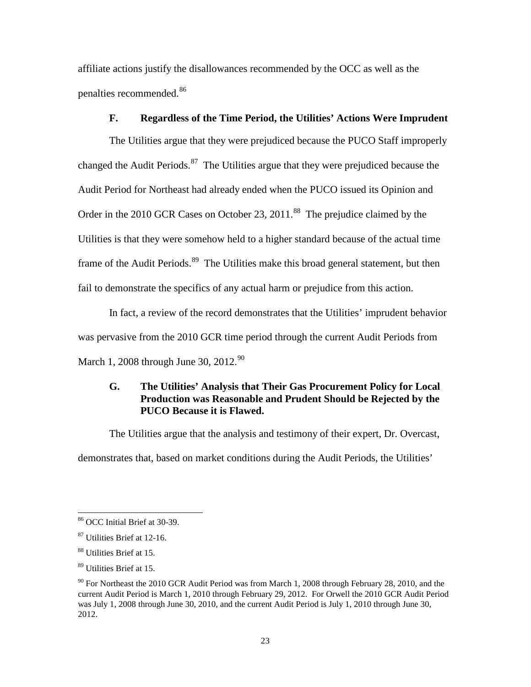affiliate actions justify the disallowances recommended by the OCC as well as the penalties recommended.[86](#page-24-5)

#### **F. Regardless of the Time Period, the Utilities' Actions Were Imprudent**

<span id="page-24-1"></span>The Utilities argue that they were prejudiced because the PUCO Staff improperly changed the Audit Periods.<sup>[87](#page-24-6)</sup> The Utilities argue that they were prejudiced because the Audit Period for Northeast had already ended when the PUCO issued its Opinion and Order in the 2010 GCR Cases on October 23, 2011.<sup>88</sup> The prejudice claimed by the Utilities is that they were somehow held to a higher standard because of the actual time frame of the Audit Periods.<sup>[89](#page-24-2)</sup> The Utilities make this broad general statement, but then fail to demonstrate the specifics of any actual harm or prejudice from this action.

In fact, a review of the record demonstrates that the Utilities' imprudent behavior was pervasive from the 2010 GCR time period through the current Audit Periods from March 1, 2008 through June 30, 2012.<sup>[90](#page-24-3)</sup>

# <span id="page-24-0"></span>**G. The Utilities' Analysis that Their Gas Procurement Policy for Local Production was Reasonable and Prudent Should be Rejected by the PUCO Because it is Flawed.**

The Utilities argue that the analysis and testimony of their expert, Dr. Overcast, demonstrates that, based on market conditions during the Audit Periods, the Utilities'

<span id="page-24-5"></span><sup>86</sup> OCC Initial Brief at 30-39.

<span id="page-24-6"></span><sup>87</sup> Utilities Brief at 12-16.

<span id="page-24-4"></span><sup>88</sup> Utilities Brief at 15.

<span id="page-24-2"></span><sup>89</sup> Utilities Brief at 15.

<span id="page-24-3"></span> $90$  For Northeast the 2010 GCR Audit Period was from March 1, 2008 through February 28, 2010, and the current Audit Period is March 1, 2010 through February 29, 2012. For Orwell the 2010 GCR Audit Period was July 1, 2008 through June 30, 2010, and the current Audit Period is July 1, 2010 through June 30, 2012.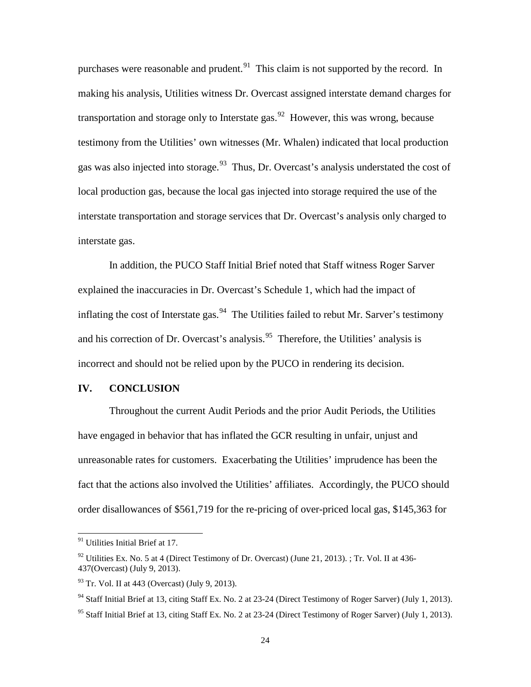purchases were reasonable and prudent. $91$  This claim is not supported by the record. In making his analysis, Utilities witness Dr. Overcast assigned interstate demand charges for transportation and storage only to Interstate gas.<sup>[92](#page-25-5)</sup> However, this was wrong, because testimony from the Utilities' own witnesses (Mr. Whalen) indicated that local production gas was also injected into storage.  $93$  Thus, Dr. Overcast's analysis understated the cost of local production gas, because the local gas injected into storage required the use of the interstate transportation and storage services that Dr. Overcast's analysis only charged to interstate gas.

In addition, the PUCO Staff Initial Brief noted that Staff witness Roger Sarver explained the inaccuracies in Dr. Overcast's Schedule 1, which had the impact of inflating the cost of Interstate gas.  $94$  The Utilities failed to rebut Mr. Sarver's testimony and his correction of Dr. Overcast's analysis.<sup>[95](#page-25-2)</sup> Therefore, the Utilities' analysis is incorrect and should not be relied upon by the PUCO in rendering its decision.

#### <span id="page-25-0"></span>**IV. CONCLUSION**

Throughout the current Audit Periods and the prior Audit Periods, the Utilities have engaged in behavior that has inflated the GCR resulting in unfair, unjust and unreasonable rates for customers. Exacerbating the Utilities' imprudence has been the fact that the actions also involved the Utilities' affiliates. Accordingly, the PUCO should order disallowances of \$561,719 for the re-pricing of over-priced local gas, \$145,363 for

<span id="page-25-4"></span><sup>&</sup>lt;sup>91</sup> Utilities Initial Brief at 17.

<span id="page-25-5"></span><sup>&</sup>lt;sup>92</sup> Utilities Ex. No. 5 at 4 (Direct Testimony of Dr. Overcast) (June 21, 2013). ; Tr. Vol. II at 436-437(Overcast) (July 9, 2013).

<span id="page-25-3"></span> $93$  Tr. Vol. II at 443 (Overcast) (July 9, 2013).

<span id="page-25-1"></span><sup>&</sup>lt;sup>94</sup> Staff Initial Brief at 13, citing Staff Ex. No. 2 at 23-24 (Direct Testimony of Roger Sarver) (July 1, 2013).

<span id="page-25-2"></span><sup>&</sup>lt;sup>95</sup> Staff Initial Brief at 13, citing Staff Ex. No. 2 at 23-24 (Direct Testimony of Roger Sarver) (July 1, 2013).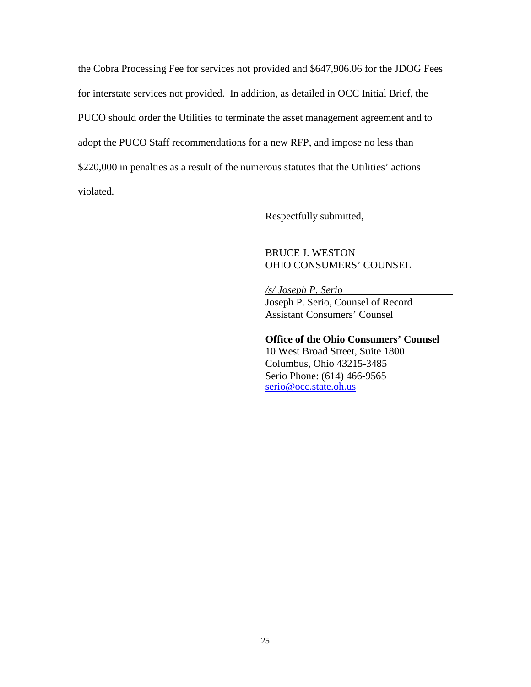the Cobra Processing Fee for services not provided and \$647,906.06 for the JDOG Fees for interstate services not provided. In addition, as detailed in OCC Initial Brief, the PUCO should order the Utilities to terminate the asset management agreement and to adopt the PUCO Staff recommendations for a new RFP, and impose no less than \$220,000 in penalties as a result of the numerous statutes that the Utilities' actions violated.

Respectfully submitted,

## BRUCE J. WESTON OHIO CONSUMERS' COUNSEL

*/s/ Joseph P. Serio* Joseph P. Serio, Counsel of Record Assistant Consumers' Counsel

#### **Office of the Ohio Consumers' Counsel**

10 West Broad Street, Suite 1800 Columbus, Ohio 43215-3485 Serio Phone: (614) 466-9565 [serio@occ.state.oh.us](mailto:serio@occ.state.oh.us)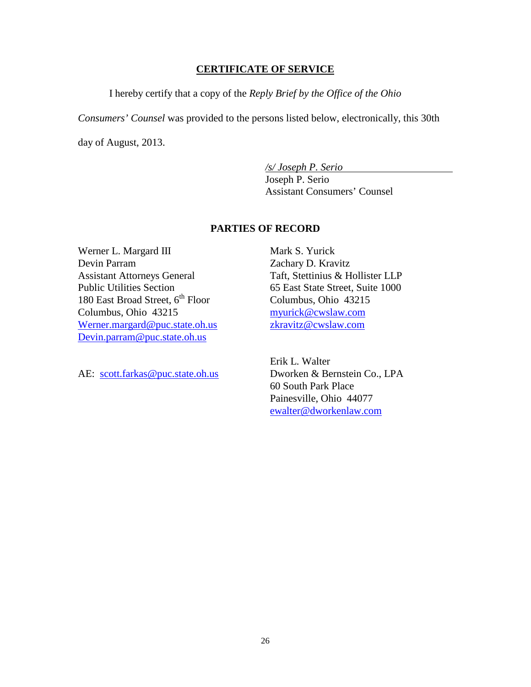#### **CERTIFICATE OF SERVICE**

I hereby certify that a copy of the *Reply Brief by the Office of the Ohio* 

*Consumers' Counsel* was provided to the persons listed below, electronically, this 30th

day of August, 2013.

*/s/ Joseph P. Serio*

Joseph P. Serio Assistant Consumers' Counsel

#### **PARTIES OF RECORD**

Werner L. Margard III Devin Parram Assistant Attorneys General Public Utilities Section 180 East Broad Street,  $6<sup>th</sup>$  Floor Columbus, Ohio 43215 Werner.margard@puc.state.oh.us [Devin.parram@puc.state.oh.us](mailto:Devin.parram@puc.state.oh.us)

AE: [scott.farkas@puc.state.oh.us](mailto:scott.farkas@puc.state.oh.us)

Mark S. Yurick Zachary D. Kravitz Taft, Stettinius & Hollister LLP 65 East State Street, Suite 1000 Columbus, Ohio 43215 myurick@cwslaw.com zkravitz@cwslaw.com

Erik L. Walter Dworken & Bernstein Co., LPA 60 South Park Place Painesville, Ohio 44077 ewalter@dworkenlaw.com